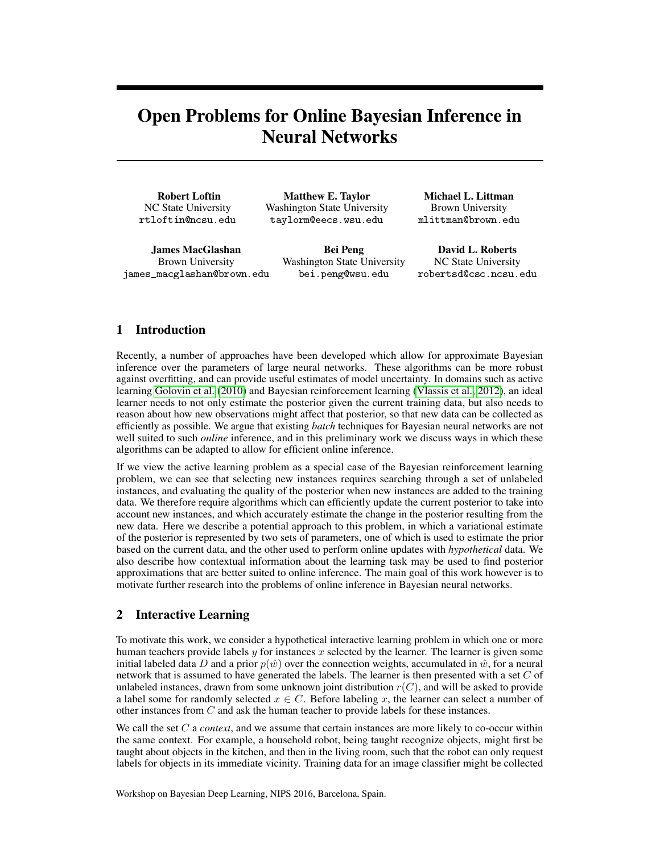# Open Problems for Online Bayesian Inference in Neural Networks

Robert Loftin NC State University rtloftin@ncsu.edu

Matthew E. Taylor Washington State University taylorm@eecs.wsu.edu

James MacGlashan Brown University james\_macglashan@brown.edu

Bei Peng Washington State University bei.peng@wsu.edu

Michael L. Littman Brown University mlittman@brown.edu

David L. Roberts NC State University robertsd@csc.ncsu.edu

## 1 Introduction

Recently, a number of approaches have been developed which allow for approximate Bayesian inference over the parameters of large neural networks. These algorithms can be more robust against overfitting, and can provide useful estimates of model uncertainty. In domains such as active learning [Golovin et al.](#page-2-0) [\(2010\)](#page-2-0) and Bayesian reinforcement learning [\(Vlassis et al., 2012\)](#page-3-0), an ideal learner needs to not only estimate the posterior given the current training data, but also needs to reason about how new observations might affect that posterior, so that new data can be collected as efficiently as possible. We argue that existing *batch* techniques for Bayesian neural networks are not well suited to such *online* inference, and in this preliminary work we discuss ways in which these algorithms can be adapted to allow for efficient online inference.

If we view the active learning problem as a special case of the Bayesian reinforcement learning problem, we can see that selecting new instances requires searching through a set of unlabeled instances, and evaluating the quality of the posterior when new instances are added to the training data. We therefore require algorithms which can efficiently update the current posterior to take into account new instances, and which accurately estimate the change in the posterior resulting from the new data. Here we describe a potential approach to this problem, in which a variational estimate of the posterior is represented by two sets of parameters, one of which is used to estimate the prior based on the current data, and the other used to perform online updates with *hypothetical* data. We also describe how contextual information about the learning task may be used to find posterior approximations that are better suited to online inference. The main goal of this work however is to motivate further research into the problems of online inference in Bayesian neural networks.

#### 2 Interactive Learning

To motivate this work, we consider a hypothetical interactive learning problem in which one or more human teachers provide labels  $y$  for instances  $x$  selected by the learner. The learner is given some initial labeled data D and a prior  $p(w)$  over the connection weights, accumulated in  $\hat{w}$ , for a neural network that is assumed to have generated the labels. The learner is then presented with a set  $C$  of unlabeled instances, drawn from some unknown joint distribution  $r(C)$ , and will be asked to provide a label some for randomly selected  $x \in C$ . Before labeling x, the learner can select a number of other instances from C and ask the human teacher to provide labels for these instances.

We call the set C a *context*, and we assume that certain instances are more likely to co-occur within the same context. For example, a household robot, being taught recognize objects, might first be taught about objects in the kitchen, and then in the living room, such that the robot can only request labels for objects in its immediate vicinity. Training data for an image classifier might be collected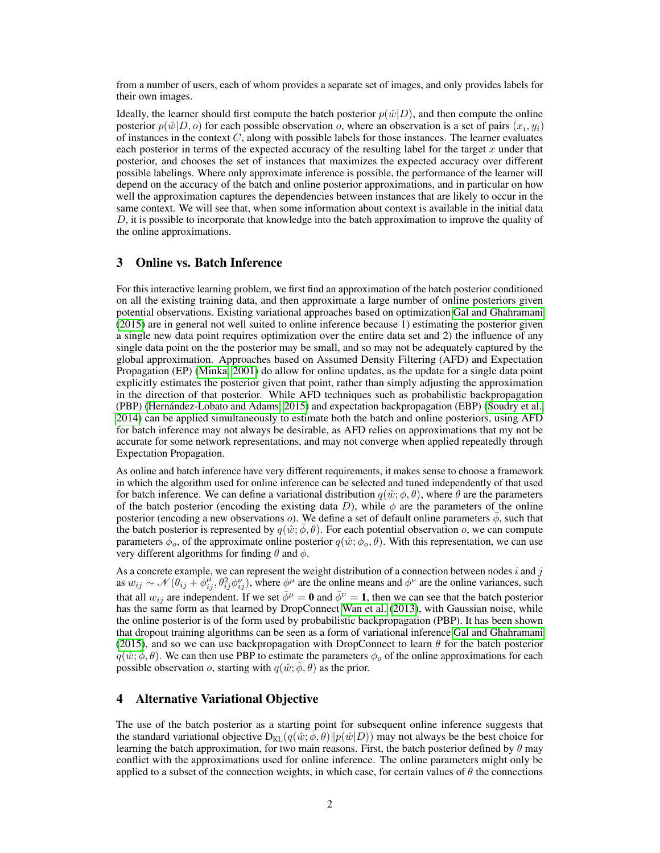from a number of users, each of whom provides a separate set of images, and only provides labels for their own images.

Ideally, the learner should first compute the batch posterior  $p(\hat{w}|D)$ , and then compute the online posterior  $p(\hat{w}|D, o)$  for each possible observation o, where an observation is a set of pairs  $(x_i, y_i)$ of instances in the context  $C$ , along with possible labels for those instances. The learner evaluates each posterior in terms of the expected accuracy of the resulting label for the target  $x$  under that posterior, and chooses the set of instances that maximizes the expected accuracy over different possible labelings. Where only approximate inference is possible, the performance of the learner will depend on the accuracy of the batch and online posterior approximations, and in particular on how well the approximation captures the dependencies between instances that are likely to occur in the same context. We will see that, when some information about context is available in the initial data D, it is possible to incorporate that knowledge into the batch approximation to improve the quality of the online approximations.

## 3 Online vs. Batch Inference

For this interactive learning problem, we first find an approximation of the batch posterior conditioned on all the existing training data, and then approximate a large number of online posteriors given potential observations. Existing variational approaches based on optimization [Gal and Ghahramani](#page-2-1) [\(2015\)](#page-2-1) are in general not well suited to online inference because 1) estimating the posterior given a single new data point requires optimization over the entire data set and 2) the influence of any single data point on the the posterior may be small, and so may not be adequately captured by the global approximation. Approaches based on Assumed Density Filtering (AFD) and Expectation Propagation (EP) [\(Minka, 2001\)](#page-3-1) do allow for online updates, as the update for a single data point explicitly estimates the posterior given that point, rather than simply adjusting the approximation in the direction of that posterior. While AFD techniques such as probabilistic backpropagation (PBP) [\(Hernández-Lobato and Adams, 2015\)](#page-2-2) and expectation backpropagation (EBP) [\(Soudry et al.,](#page-3-2) [2014\)](#page-3-2) can be applied simultaneously to estimate both the batch and online posteriors, using AFD for batch inference may not always be desirable, as AFD relies on approximations that my not be accurate for some network representations, and may not converge when applied repeatedly through Expectation Propagation.

As online and batch inference have very different requirements, it makes sense to choose a framework in which the algorithm used for online inference can be selected and tuned independently of that used for batch inference. We can define a variational distribution  $q(\hat{w}; \phi, \theta)$ , where  $\theta$  are the parameters of the batch posterior (encoding the existing data D), while  $\phi$  are the parameters of the online posterior (encoding a new observations  $o$ ). We define a set of default online parameters  $\phi$ , such that the batch posterior is represented by  $q(\hat{w}; \phi, \theta)$ . For each potential observation o, we can compute parameters  $\phi$ <sub>o</sub>, of the approximate online posterior  $q(\hat{w}; \phi$ <sub>o</sub>,  $\theta)$ . With this representation, we can use very different algorithms for finding  $\theta$  and  $\phi$ .

As a concrete example, we can represent the weight distribution of a connection between nodes i and j as  $w_{ij} \sim \mathcal{N}(\theta_{ij} + \phi_{ij}^{\mu}, \theta_{ij}^2 \phi_{ij}^{\nu}),$  where  $\phi^{\mu}$  are the online means and  $\phi^{\nu}$  are the online variances, such that all  $w_{ij}$  are independent. If we set  $\bar{\phi}^{\mu} = \mathbf{0}$  and  $\bar{\phi}^{\nu} = \mathbf{1}$ , then we can see that the batch posterior has the same form as that learned by DropConnect [Wan et al.](#page-3-3) [\(2013\)](#page-3-3), with Gaussian noise, while the online posterior is of the form used by probabilistic backpropagation (PBP). It has been shown that dropout training algorithms can be seen as a form of variational inference [Gal and Ghahramani](#page-2-1) [\(2015\)](#page-2-1), and so we can use backpropagation with DropConnect to learn  $\theta$  for the batch posterior  $q(\hat w; \bar \phi, \theta)$ . We can then use PBP to estimate the parameters  $\phi_0$  of the online approximations for each possible observation o, starting with  $q(\hat{w}; \bar{\phi}, \theta)$  as the prior.

#### 4 Alternative Variational Objective

The use of the batch posterior as a starting point for subsequent online inference suggests that the standard variational objective  $D_{KL}(q(\hat{w}; \phi, \theta) || p(\hat{w}|D))$  may not always be the best choice for learning the batch approximation, for two main reasons. First, the batch posterior defined by  $\theta$  may conflict with the approximations used for online inference. The online parameters might only be applied to a subset of the connection weights, in which case, for certain values of  $\theta$  the connections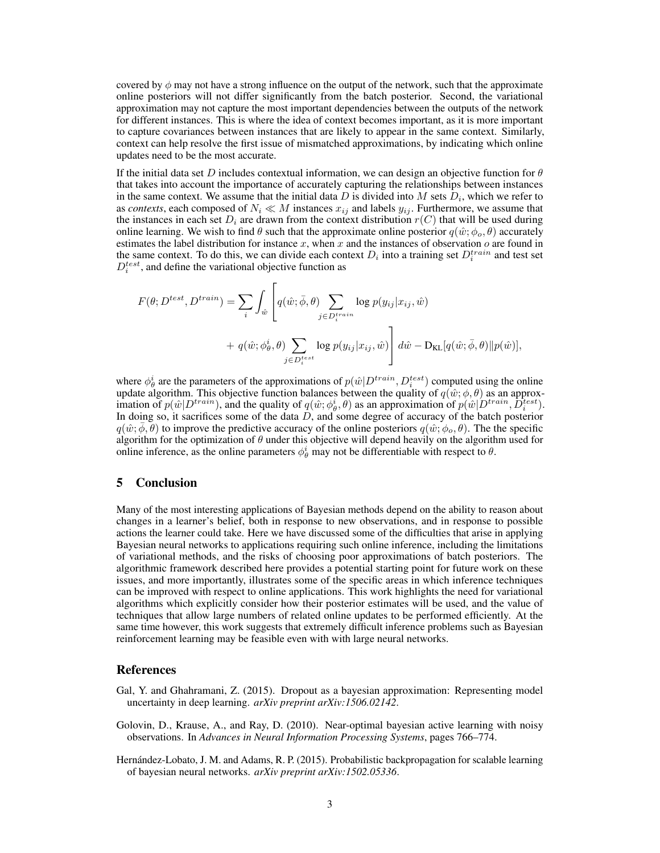covered by  $\phi$  may not have a strong influence on the output of the network, such that the approximate online posteriors will not differ significantly from the batch posterior. Second, the variational approximation may not capture the most important dependencies between the outputs of the network for different instances. This is where the idea of context becomes important, as it is more important to capture covariances between instances that are likely to appear in the same context. Similarly, context can help resolve the first issue of mismatched approximations, by indicating which online updates need to be the most accurate.

If the initial data set D includes contextual information, we can design an objective function for  $\theta$ that takes into account the importance of accurately capturing the relationships between instances in the same context. We assume that the initial data D is divided into M sets  $D_i$ , which we refer to as *contexts*, each composed of  $N_i \ll M$  instances  $x_{ij}$  and labels  $y_{ij}$ . Furthermore, we assume that the instances in each set  $D_i$  are drawn from the context distribution  $r(C)$  that will be used during online learning. We wish to find  $\theta$  such that the approximate online posterior  $q(\hat{w}; \phi_o, \theta)$  accurately estimates the label distribution for instance  $x$ , when  $x$  and the instances of observation  $o$  are found in the same context. To do this, we can divide each context  $D_i$  into a training set  $D_i^{train}$  and test set  $D_i^{test}$ , and define the variational objective function as

$$
F(\theta; D^{test}, D^{train}) = \sum_{i} \int_{\hat{w}} \left[ q(\hat{w}; \bar{\phi}, \theta) \sum_{j \in D^{train}_i} \log p(y_{ij} | x_{ij}, \hat{w}) + q(\hat{w}; \phi^i_{\theta}, \theta) \sum_{j \in D^{test}_i} \log p(y_{ij} | x_{ij}, \hat{w}) \right] d\hat{w} - \mathcal{D}_{\text{KL}}[q(\hat{w}; \bar{\phi}, \theta) || p(\hat{w})],
$$

where  $\phi^i_\theta$  are the parameters of the approximations of  $p(\hat{w} | D^{train}, D^{test}_i)$  computed using the online update algorithm. This objective function balances between the quality of  $q(\hat{w}; \phi, \theta)$  as an approximation of  $p(\hat{w}|D^{train})$ , and the quality of  $q(\hat{w}; \phi^i_{\theta}, \theta)$  as an approximation of  $p(\hat{w}|D^{train}, \overline{D}^{test}_i)$ . In doing so, it sacrifices some of the data  $D$ , and some degree of accuracy of the batch posterior  $q(\hat w; \phi, \theta)$  to improve the predictive accuracy of the online posteriors  $q(\hat w; \phi_0, \theta)$ . The the specific algorithm for the optimization of  $\theta$  under this objective will depend heavily on the algorithm used for online inference, as the online parameters  $\phi_{\theta}^{i}$  may not be differentiable with respect to  $\theta$ .

#### 5 Conclusion

Many of the most interesting applications of Bayesian methods depend on the ability to reason about changes in a learner's belief, both in response to new observations, and in response to possible actions the learner could take. Here we have discussed some of the difficulties that arise in applying Bayesian neural networks to applications requiring such online inference, including the limitations of variational methods, and the risks of choosing poor approximations of batch posteriors. The algorithmic framework described here provides a potential starting point for future work on these issues, and more importantly, illustrates some of the specific areas in which inference techniques can be improved with respect to online applications. This work highlights the need for variational algorithms which explicitly consider how their posterior estimates will be used, and the value of techniques that allow large numbers of related online updates to be performed efficiently. At the same time however, this work suggests that extremely difficult inference problems such as Bayesian reinforcement learning may be feasible even with with large neural networks.

#### References

- <span id="page-2-1"></span>Gal, Y. and Ghahramani, Z. (2015). Dropout as a bayesian approximation: Representing model uncertainty in deep learning. *arXiv preprint arXiv:1506.02142*.
- <span id="page-2-0"></span>Golovin, D., Krause, A., and Ray, D. (2010). Near-optimal bayesian active learning with noisy observations. In *Advances in Neural Information Processing Systems*, pages 766–774.
- <span id="page-2-2"></span>Hernández-Lobato, J. M. and Adams, R. P. (2015). Probabilistic backpropagation for scalable learning of bayesian neural networks. *arXiv preprint arXiv:1502.05336*.